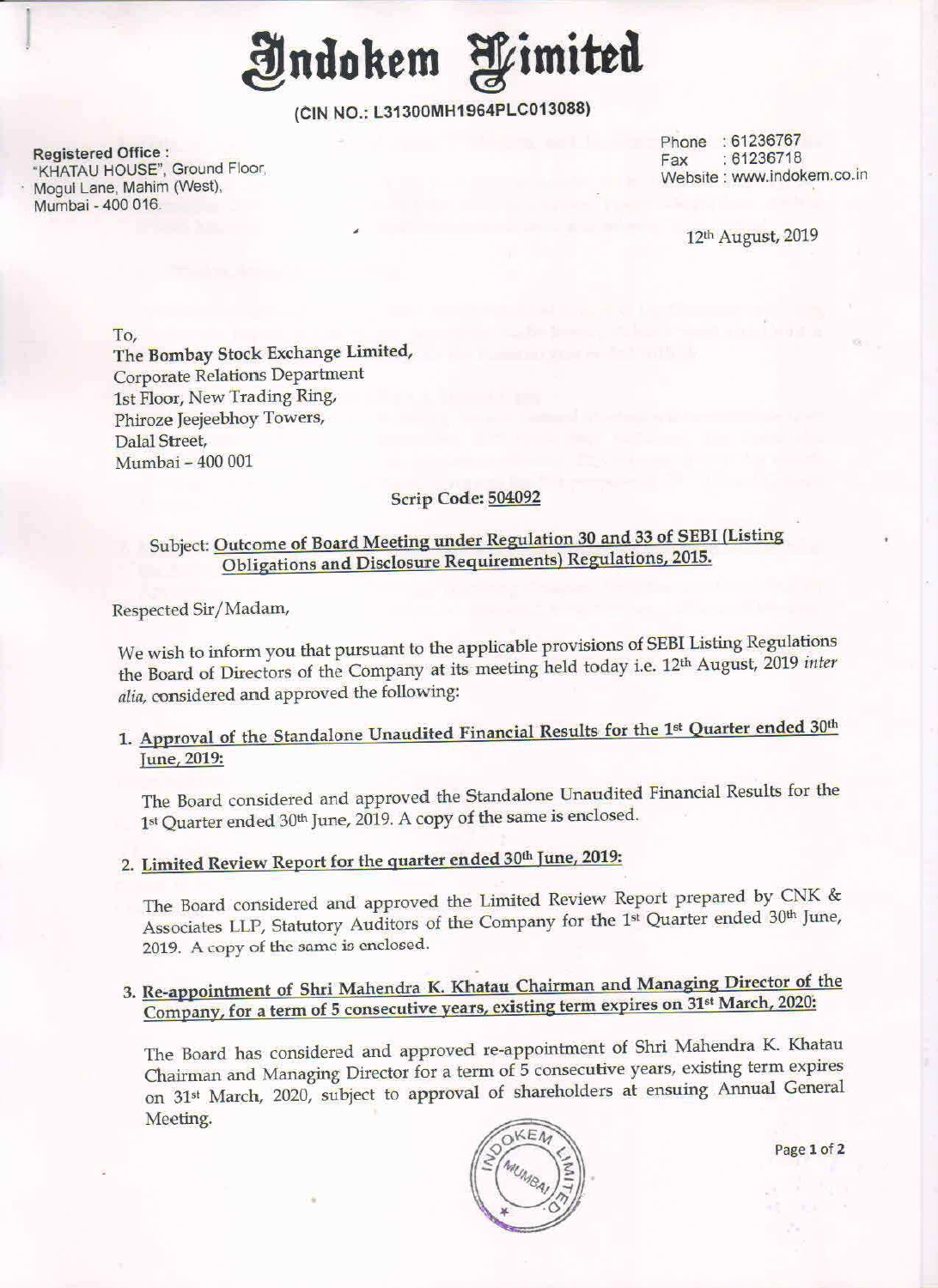ndokem g*e*imited

(ClN NO.: L31300MH1964PLC013083)

Registered Office : Registered Office .<br>"KHATAU HOUSE", Ground Floor, Fax (1999) . Fax (1992) . Fax (1992) . Fax (1992) . Fax (1992) . Fax (1992) . Fa<br>"The Marine Mobile" (Marine Mobile ) . The Mobile of Mobile (1993) . The Mobile of Mobile ( Mogul Lane, Mahim (West), Mumbai - 400 016

'

Phone : 61236767<br>Fax : 61236718

12'h August, 2019

To, The Bombay Stock Exchange Limited, Corporate Relations Department lst Floor, New Trading Ring, Phiroze Jeejeebhoy Towers, Dalal Street, Mumbai - 400 001

#### Scrip Code: 504092

# Subject: Outcome of Board Meeting under Regulation 30 and 33 of SEBI (Listing Obligations and Disclosure Reguirements) Regulations, 2015.

Respected Sir/ Madam,

We wish to inform you that pursuant to the applicable provisions of SEBI Listing Regulations the Board of Directors of the Company at its meeting held today i.e. 12<sup>th</sup> August, 2019 inter alia, considered and approved the following:

## 1. Approval of the Standalone Unaudited Financial Results for the 1<sup>st</sup> Quarter ended 30<sup>th</sup> June, 2019:

The Board considered and approved the Standalone Unaudited Financial Results for the 1<sup>st</sup> Quarter ended 30<sup>th</sup> June, 2019. A copy of the same is enclosed.

# 2. Limited Review Report for the quarter ended 30th June, 2019:

The Board considered and approved the Limited Review Report prepared by CNK & Associates LLP, Statutory Auditors of the Company for the 1st Quarter ended 30th June, 2019. A copy of the same is enclosed.

# 3. Re-appointment of Shri Mahendra K. Khatau Chairman and Managing Director of the Company, for a term of 5 consecutive years, existing term expires on 31<sup>st</sup> March, 2020:

The Board has considered and approved re-appointment of Shri Mahendra K. Khatau Chairman and Managing Director for <sup>a</sup> term of <sup>5</sup> consecutive years, existing term expires on 31<sup>st</sup> March, 2020, subject to approval of shareholders at ensuing Annual General Meeting.



Page 1 of 2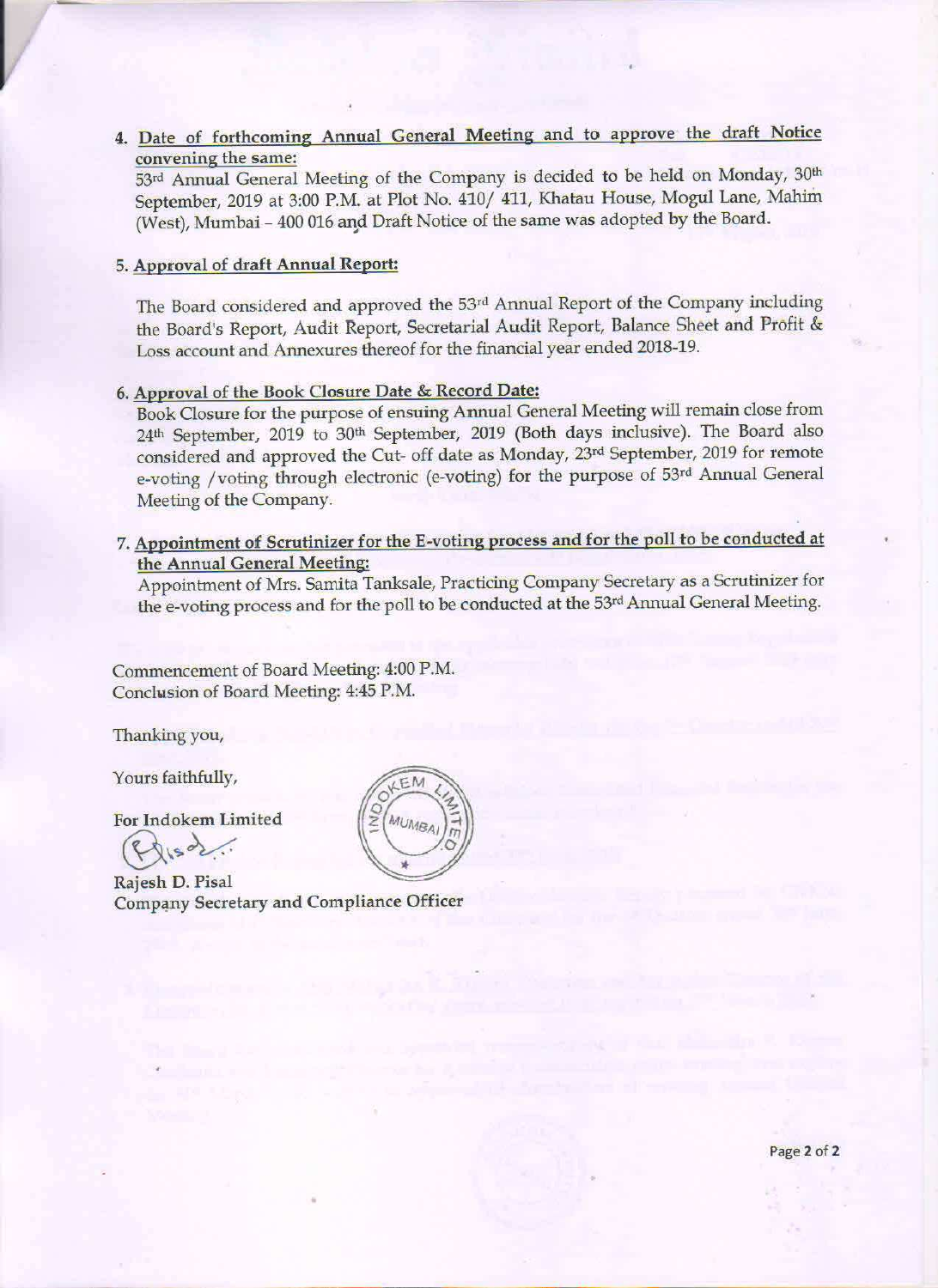4. Date of forthcoming Annual General Meeting and to approve the draft Notice convening the same:

53rd Annual General Meeting of the Company is decided to be held on Monday, 30<sup>th</sup> September, 2019 at 3:00 P.M. at Plot No. 410/ 411, Khatau House, Mogul Lane, Mahim (West), Mumbai — <sup>400</sup> <sup>016</sup> and Draft Notice of the same was adopted by the Board.

### 5. Approval of draft Annual Report:

The Board considered and approved the 53rd Annual Report of the Company including the Board's Report, Audit Report, Secretarial Audit Report, Balance Sheet and Profit & Loss account and Annexures thereof for the financial year ended 2018-19.

#### 6. Approval of the Book Closure Date & Record Date:

Book Closure for the purpose of ensuing Annual General Meeting will remain close from 24th September, <sup>2019</sup> to 30'h September, <sup>2019</sup> (Both days inclusive). The Board also considered and approved the Cut- off date as Monday, 23rd September, <sup>2019</sup> for remote e-voting /voting through electronic (e-voting) for the purpose of 53rd Annual General Meeting of the Company.

7. Appointment of Scrutinizer for the E-voting process and for the poll to be conducted at the Annual General Meeting:

Appointment of Mrs. Samita Tanksale, Practicing Company Secretary as a Scrutinizer for the e-voting process and for the poll to be conducted at the 53rd Annual General Meeting.

Commencement of Board Meeting: 4:00 RM. Conclusion of Board Meeting: 4:45 P.M.

Thanking you,

Yours faithfully,

For Indokem Limited<br>
Rajesh D. Pisal

Rajesh D. Pisal Company Secretary and Compliance Officer

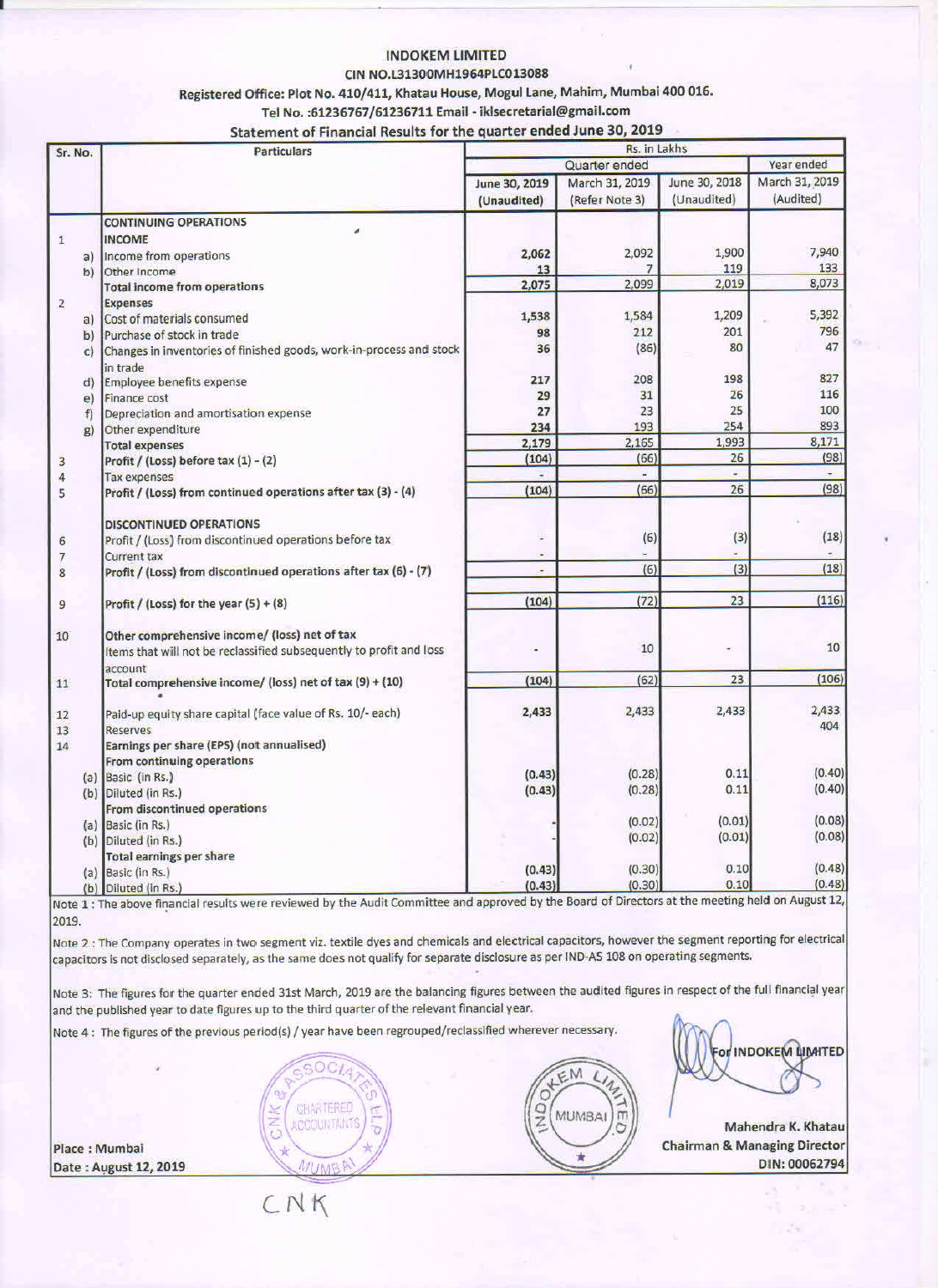#### **INDOKEM LIMITED**

### CIN NO.L31300MH1964PLC013088

Registered Office: Plot No. 410/411, Khatau House, Mogul Lane, Mahim, Mumbai 400 016.

Tel No. : 61236767/61236711 Email - iklsecretarial@gmail.com

### Statement of Financial Results for the quarter ended June 30, 2019

| Sr. No.        | <b>Particulars</b>                                                  | Rs. in Lakhs   |                |               |                          |
|----------------|---------------------------------------------------------------------|----------------|----------------|---------------|--------------------------|
|                |                                                                     | Quarter ended  |                |               | Year ended               |
|                |                                                                     | June 30, 2019  | March 31, 2019 | June 30, 2018 | March 31, 2019           |
|                |                                                                     | (Unaudited)    | (Refer Note 3) | (Unaudited)   | (Audited)                |
|                | <b>CONTINUING OPERATIONS</b>                                        |                |                |               |                          |
| $\mathbf{1}$   | <b>INCOME</b>                                                       |                |                |               |                          |
| a)             | Income from operations                                              | 2,062          | 2,092          | 1,900         | 7,940                    |
| b)             | Other Income                                                        | 13             |                | 119           | 133                      |
|                | <b>Total income from operations</b>                                 | 2,075          | 2,099          | 2,019         | 8,073                    |
| $\overline{2}$ | <b>Expenses</b>                                                     |                |                |               |                          |
| a)             | Cost of materials consumed                                          | 1,538          | 1,584          | 1,209         | 5,392                    |
| b)             | Purchase of stock in trade                                          | 98             | 212            | 201           | 796                      |
| $\mathbb{C}$   | Changes in inventories of finished goods, work-in-process and stock | 36             | (86)           | 80            | 47                       |
|                | in trade                                                            |                |                |               |                          |
| d)             | Employee benefits expense                                           | 217            | 208            | 198           | 827                      |
| e)             | Finance cost                                                        | 29             | 31             | 26            | 116                      |
| f              | Depreciation and amortisation expense                               | 27             | 23             | 25            | 100                      |
| g)             | Other expenditure                                                   | 234            | 193            | 254           | 893                      |
|                | <b>Total expenses</b>                                               | 2,179          | 2,165          | 1,993         | 8,171                    |
| 3              | Profit / (Loss) before tax (1) - (2)                                | (104)          | (66)           | 26            | (98)                     |
| 4              | <b>Tax expenses</b>                                                 |                | a.             | a,            | $\overline{\phantom{0}}$ |
| 5              | Profit / (Loss) from continued operations after tax (3) - (4)       | (104)          | (66)           | 26            | (98)                     |
|                | <b>DISCONTINUED OPERATIONS</b>                                      |                |                |               |                          |
| 6              | Profit / (Loss) from discontinued operations before tax             | a)             | (6)            | (3)           | (18)                     |
| 7              | <b>Current tax</b>                                                  | $\blacksquare$ |                |               |                          |
| 8              | Profit / (Loss) from discontinued operations after tax (6) - (7)    | $\bullet$      | (6)            | (3)           | (18)                     |
| 9              | Profit / (Loss) for the year $(5) + (8)$                            | (104)          | (72)           | 23            | (116)                    |
| 10             | Other comprehensive income/ (loss) net of tax                       |                |                |               |                          |
|                | Items that will not be reclassified subsequently to profit and loss | ٠              | 10             | $\bullet$     | 10                       |
|                | account                                                             | (104)          | (62)           | 23            | (106)                    |
| 11             | Total comprehensive income/ (loss) net of tax (9) + (10)            |                |                |               |                          |
| 12             | Paid-up equity share capital (face value of Rs. 10/- each)          | 2,433          | 2,433          | 2,433         | 2,433                    |
| 13             | <b>Reserves</b>                                                     |                |                |               | 404                      |
| 14             | Earnings per share (EPS) (not annualised)                           |                |                |               |                          |
|                | From continuing operations                                          |                |                |               |                          |
|                | (a) Basic (in Rs.)                                                  | (0.43)         | (0.28)         | 0.11          | (0.40)                   |
|                | (b) Diluted (in Rs.)                                                | (0.43)         | (0.28)         | 0.11          | (0.40)                   |
|                | From discontinued operations                                        |                |                |               |                          |
|                | (a) Basic (in Rs.)                                                  |                | (0.02)         | (0.01)        | (0.08)                   |
|                | (b) Diluted (in Rs.)                                                |                | (0.02)         | (0.01)        | (0.08)                   |
|                | <b>Total earnings per share</b>                                     |                |                |               |                          |
| (a)            | Basic (in Rs.)                                                      | (0.43)         | (0.30)         | 0.10          | (0.48)                   |
|                | (b) Diluted (in Rs.)                                                | (0.43)         | (0.30)         | 0.10          | (0.48)                   |

Note 1 : The above financial results were reviewed by the Audit Committee and approved by the Board of Directors at the meeting held on August 12, 2019.

Note 2 : The Company operates in two segment viz. textile dyes and chemicals and electrical capacitors, however the segment reporting for electrical capacitors is not disclosed separately, as the same does not qualify for separate disclosure as per IND-AS 108 on operating segments.

Note 3: The figures for the quarter ended 31st March, 2019 are the balancing figures between the audited figures in respect of the full financial year and the published year to date figures up to the third quarter of the relevant financial year.

Note 4 : The figures of the previous period(s) / year have been regrouped/reclassified wherever necessary.





**INDOKEM LIMITED** 

Mahendra K. Khatau **Chairman & Managing Director** DIN: 00062794

CNK